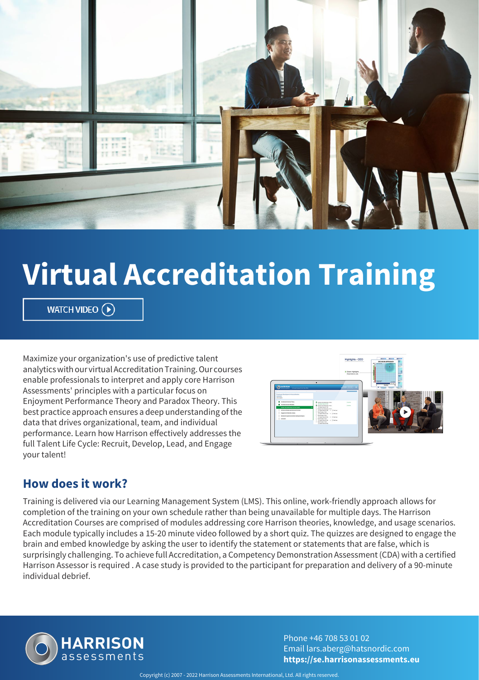

# **Virtual Accreditation Training**

WATCH VIDEO  $\left(\rightarrow\right)$ 

Maximize your organization's use of predictive talent analytics with our virtual Accreditation Training. Our courses enable professionals to interpret and apply core Harrison Assessments' principles with a particular focus on Enjoyment Performance Theory and Paradox Theory. This best practice approach ensures a deep understanding of the data that drives organizational, team, and individual performance. Learn how Harrison effectively addresses the full Talent Life Cycle: Recruit, Develop, Lead, and Engage your talent!



### **How does it work?**

Training is delivered via our Learning Management System (LMS). This online, work-friendly approach allows for completion of the training on your own schedule rather than being unavailable for multiple days. The Harrison Accreditation Courses are comprised of modules addressing core Harrison theories, knowledge, and usage scenarios. Each module typically includes a 15-20 minute video followed by a short quiz. The quizzes are designed to engage the brain and embed knowledge by asking the user to identify the statement or statements that are false, which is surprisingly challenging. To achieve full Accreditation, a Competency Demonstration Assessment (CDA) with a certified Harrison Assessor is required . A case study is provided to the participant for preparation and delivery of a 90-minute individual debrief.



Phone +46 708 53 01 02 Email lars.aberg@hatsnordic.com **https://se.harrisonassessments.eu**